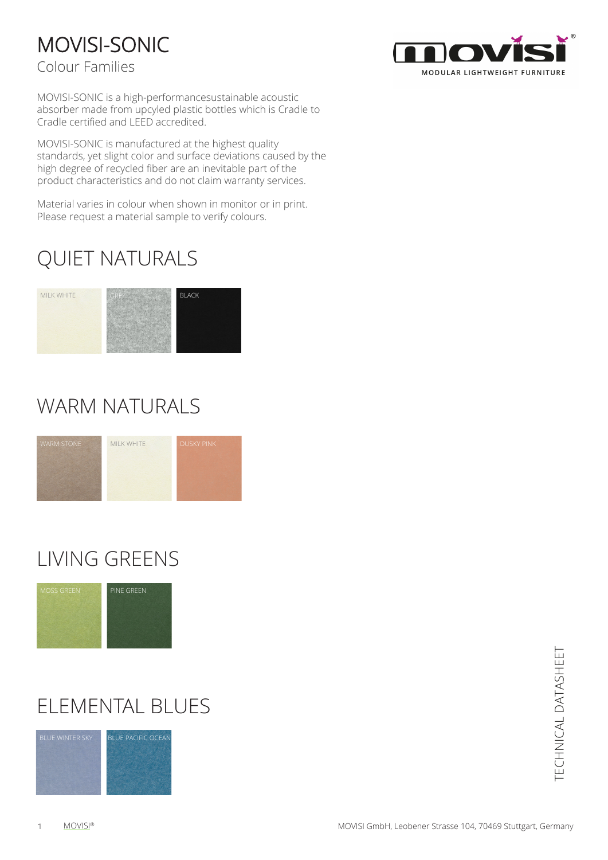### MOVISI-SONIC

Colour Families



MOVISI-SONIC is a high-performancesustainable acoustic absorber made from upcyled plastic bottles which is Cradle to Cradle certified and LEED accredited.

MOVISI-SONIC is manufactured at the highest quality standards, yet slight color and surface deviations caused by the high degree of recycled fiber are an inevitable part of the product characteristics and do not claim warranty services.

Material varies in colour when shown in monitor or in print. Please request a material sample to verify colours.

### QUIET NATURALS

#### MILK WHITE



### WARM NATURALS



## LIVING GREENS



### ELEMENTAL BLUES



TECHNICAL DATASHEET TECHNICAL DATASHEET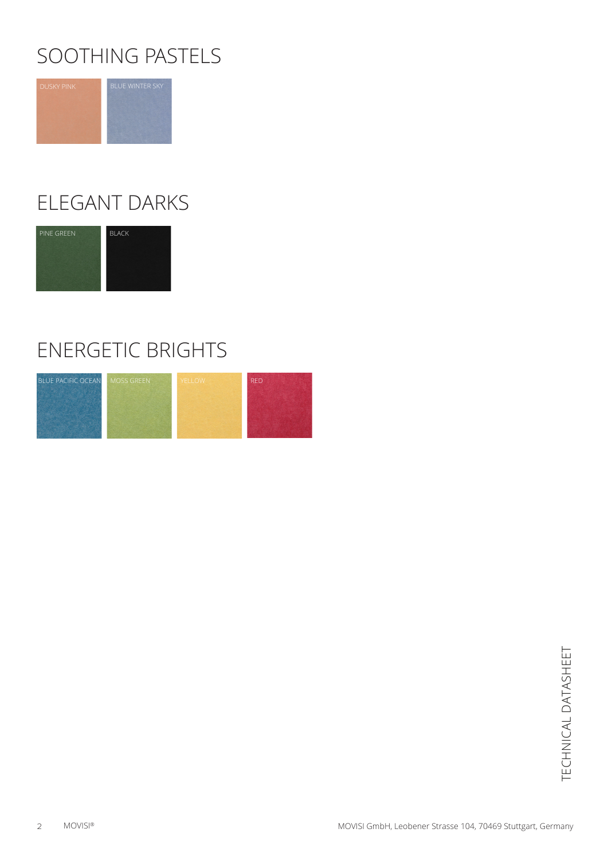### SOOTHING PASTELS



### ELEGANT DARKS



### ENERGETIC BRIGHTS